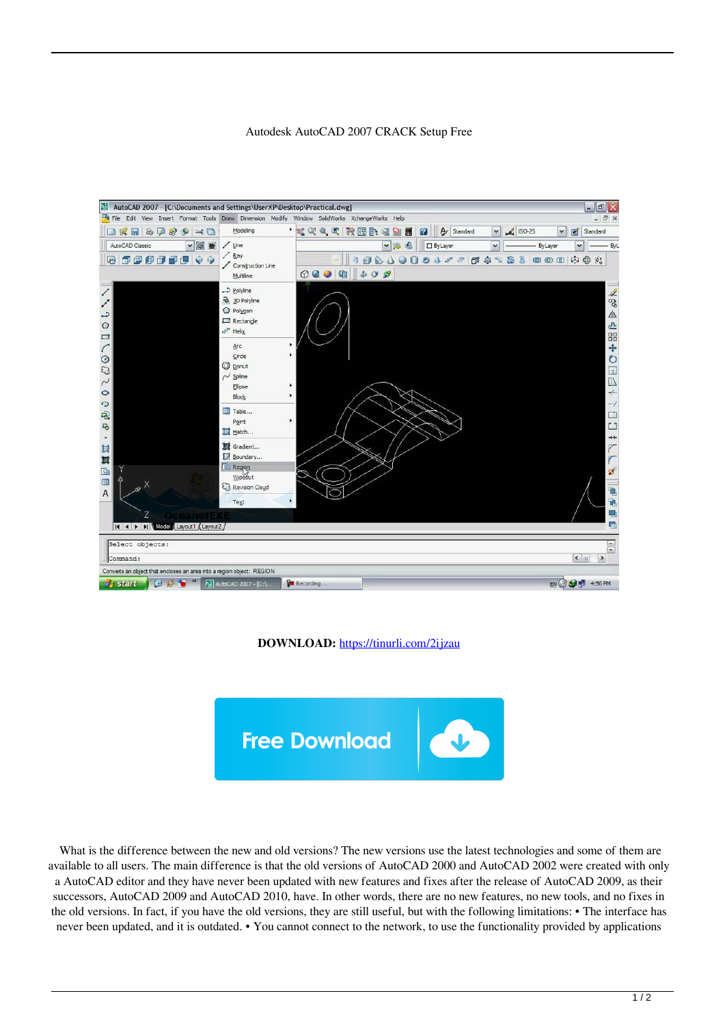

## Autodesk AutoCAD 2007 CRACK Setup Free

**DOWNLOAD:** <https://tinurli.com/2ijzau>



What is the difference between the new and old versions? The new versions use the latest technologies and some of them are available to all users. The main difference is that the old versions of AutoCAD 2000 and AutoCAD 2002 were created with only a AutoCAD editor and they have never been updated with new features and fixes after the release of AutoCAD 2009, as their successors, AutoCAD 2009 and AutoCAD 2010, have. In other words, there are no new features, no new tools, and no fixes in the old versions. In fact, if you have the old versions, they are still useful, but with the following limitations: • The interface has never been updated, and it is outdated. • You cannot connect to the network, to use the functionality provided by applications